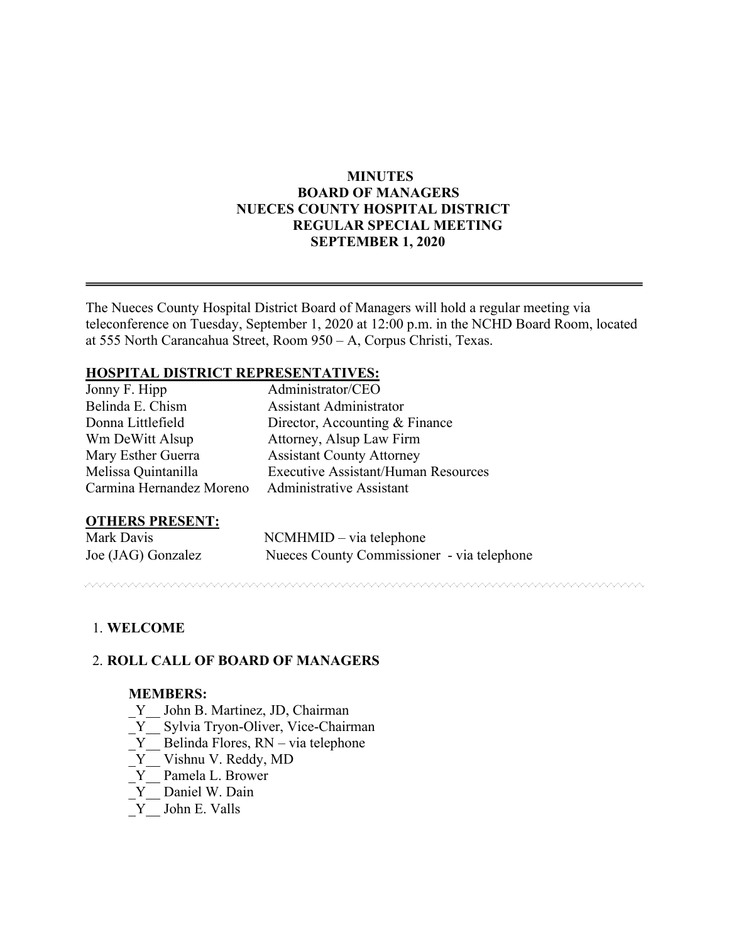# **MINUTES BOARD OF MANAGERS NUECES COUNTY HOSPITAL DISTRICT REGULAR SPECIAL MEETING SEPTEMBER 1, 2020**

The Nueces County Hospital District Board of Managers will hold a regular meeting via teleconference on Tuesday, September 1, 2020 at 12:00 p.m. in the NCHD Board Room, located at 555 North Carancahua Street, Room 950 – A, Corpus Christi, Texas.

## **HOSPITAL DISTRICT REPRESENTATIVES:**

| Jonny F. Hipp            | Administrator/CEO                          |
|--------------------------|--------------------------------------------|
| Belinda E. Chism         | Assistant Administrator                    |
| Donna Littlefield        | Director, Accounting & Finance             |
| Wm DeWitt Alsup          | Attorney, Alsup Law Firm                   |
| Mary Esther Guerra       | <b>Assistant County Attorney</b>           |
| Melissa Quintanilla      | <b>Executive Assistant/Human Resources</b> |
| Carmina Hernandez Moreno | <b>Administrative Assistant</b>            |

### **OTHERS PRESENT:**

| Mark Davis         | $NCMHMID - via telephone$                  |
|--------------------|--------------------------------------------|
| Joe (JAG) Gonzalez | Nueces County Commissioner - via telephone |

# 1. **WELCOME**

### 2. **ROLL CALL OF BOARD OF MANAGERS**

#### **MEMBERS:**

- Y John B. Martinez, JD, Chairman
- \_Y\_\_ Sylvia Tryon-Oliver, Vice-Chairman
- Y Belinda Flores, RN via telephone
- Y Vishnu V. Reddy, MD
- \_Y\_\_ Pamela L. Brower
- Y Daniel W. Dain
- \_Y\_\_ John E. Valls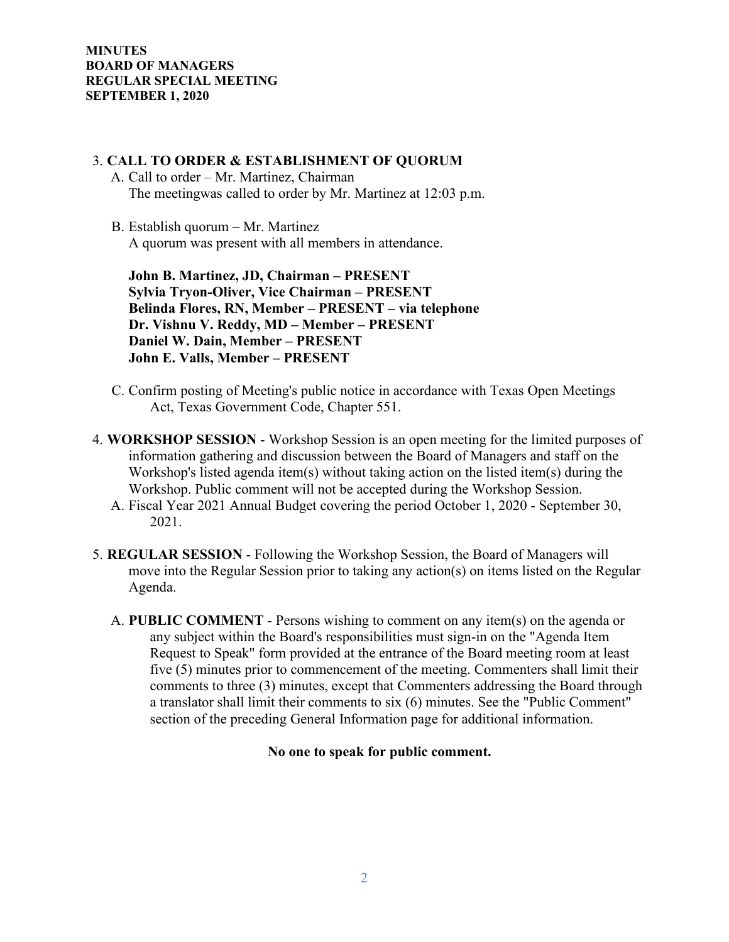#### **MINUTES BOARD OF MANAGERS REGULAR SPECIAL MEETING SEPTEMBER 1, 2020**

### 3. **CALL TO ORDER & ESTABLISHMENT OF QUORUM**

- A. Call to order Mr. Martinez, Chairman The meetingwas called to order by Mr. Martinez at 12:03 p.m.
- B. Establish quorum Mr. Martinez A quorum was present with all members in attendance.

 **John B. Martinez, JD, Chairman – PRESENT Sylvia Tryon-Oliver, Vice Chairman – PRESENT Belinda Flores, RN, Member – PRESENT – via telephone Dr. Vishnu V. Reddy, MD – Member – PRESENT Daniel W. Dain, Member – PRESENT John E. Valls, Member – PRESENT** 

- C. Confirm posting of Meeting's public notice in accordance with Texas Open Meetings Act, Texas Government Code, Chapter 551.
- 4. **WORKSHOP SESSION**  Workshop Session is an open meeting for the limited purposes of information gathering and discussion between the Board of Managers and staff on the Workshop's listed agenda item(s) without taking action on the listed item(s) during the Workshop. Public comment will not be accepted during the Workshop Session.
	- A. Fiscal Year 2021 Annual Budget covering the period October 1, 2020 September 30, 2021.
- 5. **REGULAR SESSION**  Following the Workshop Session, the Board of Managers will move into the Regular Session prior to taking any action(s) on items listed on the Regular Agenda.
	- A. **PUBLIC COMMENT** Persons wishing to comment on any item(s) on the agenda or any subject within the Board's responsibilities must sign-in on the "Agenda Item Request to Speak" form provided at the entrance of the Board meeting room at least five (5) minutes prior to commencement of the meeting. Commenters shall limit their comments to three (3) minutes, except that Commenters addressing the Board through a translator shall limit their comments to six (6) minutes. See the "Public Comment" section of the preceding General Information page for additional information.

### **No one to speak for public comment.**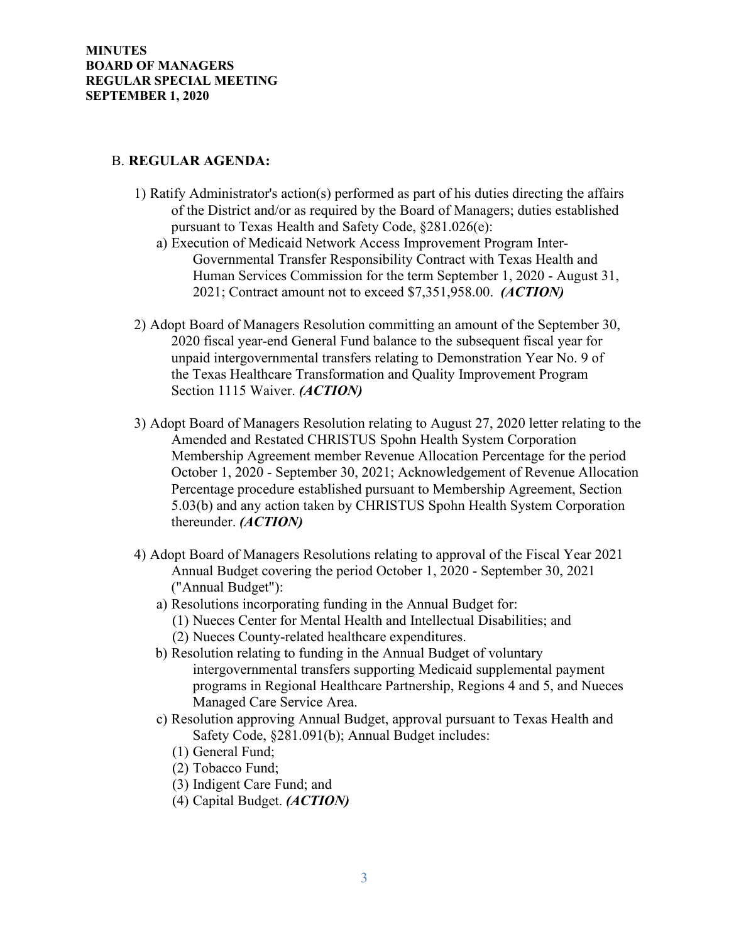## B. **REGULAR AGENDA:**

- 1) Ratify Administrator's action(s) performed as part of his duties directing the affairs of the District and/or as required by the Board of Managers; duties established pursuant to Texas Health and Safety Code, §281.026(e):
	- a) Execution of Medicaid Network Access Improvement Program Inter-Governmental Transfer Responsibility Contract with Texas Health and Human Services Commission for the term September 1, 2020 - August 31, 2021; Contract amount not to exceed \$7,351,958.00. *(ACTION)*
- 2) Adopt Board of Managers Resolution committing an amount of the September 30, 2020 fiscal year-end General Fund balance to the subsequent fiscal year for unpaid intergovernmental transfers relating to Demonstration Year No. 9 of the Texas Healthcare Transformation and Quality Improvement Program Section 1115 Waiver. *(ACTION)*
- 3) Adopt Board of Managers Resolution relating to August 27, 2020 letter relating to the Amended and Restated CHRISTUS Spohn Health System Corporation Membership Agreement member Revenue Allocation Percentage for the period October 1, 2020 - September 30, 2021; Acknowledgement of Revenue Allocation Percentage procedure established pursuant to Membership Agreement, Section 5.03(b) and any action taken by CHRISTUS Spohn Health System Corporation thereunder. *(ACTION)*
- 4) Adopt Board of Managers Resolutions relating to approval of the Fiscal Year 2021 Annual Budget covering the period October 1, 2020 - September 30, 2021 ("Annual Budget"):
	- a) Resolutions incorporating funding in the Annual Budget for:
		- (1) Nueces Center for Mental Health and Intellectual Disabilities; and
		- (2) Nueces County-related healthcare expenditures.
	- b) Resolution relating to funding in the Annual Budget of voluntary intergovernmental transfers supporting Medicaid supplemental payment programs in Regional Healthcare Partnership, Regions 4 and 5, and Nueces Managed Care Service Area.
	- c) Resolution approving Annual Budget, approval pursuant to Texas Health and Safety Code, §281.091(b); Annual Budget includes:
		- (1) General Fund;
		- (2) Tobacco Fund;
		- (3) Indigent Care Fund; and
		- (4) Capital Budget. *(ACTION)*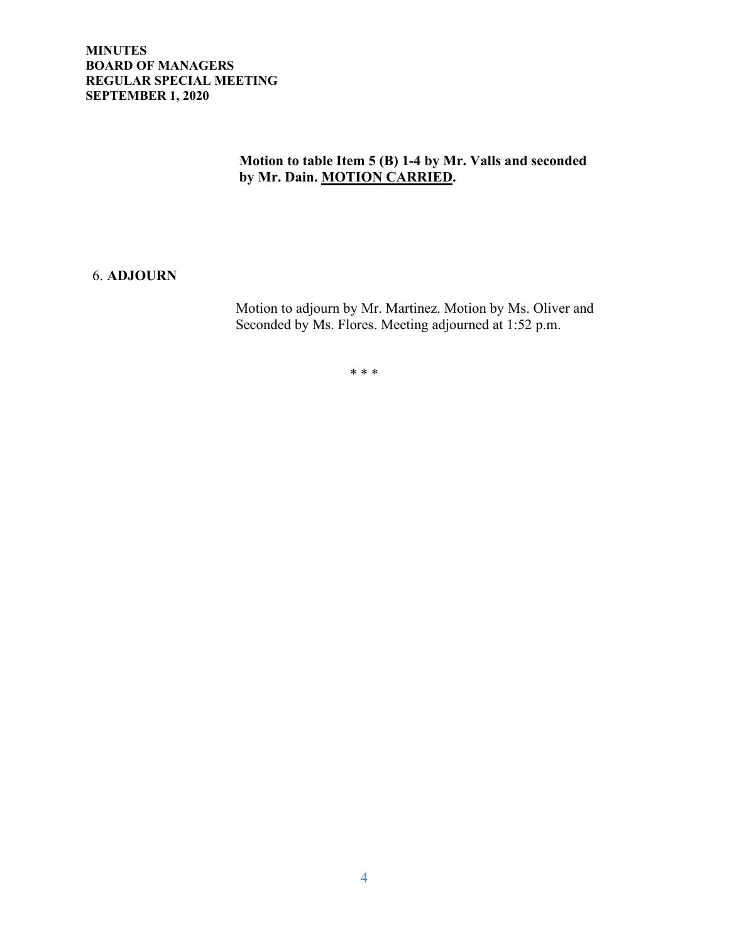#### **MINUTES BOARD OF MANAGERS REGULAR SPECIAL MEETING SEPTEMBER 1, 2020**

# **Motion to table Item 5 (B) 1-4 by Mr. Valls and seconded by Mr. Dain. MOTION CARRIED.**

## 6. **ADJOURN**

 Motion to adjourn by Mr. Martinez. Motion by Ms. Oliver and Seconded by Ms. Flores. Meeting adjourned at 1:52 p.m.

\* \* \*